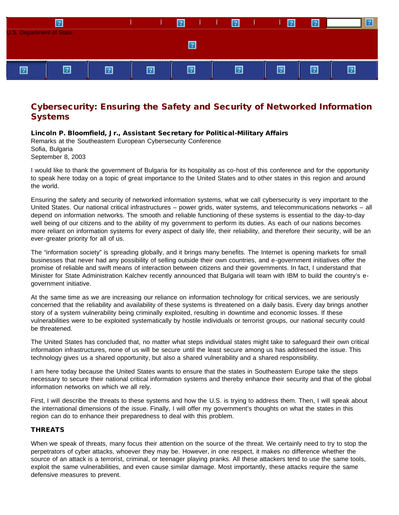

# Cybersecurity: Ensuring the Safety and Security of Networked Information **Systems**

# Lincoln P. Bloomfield, Jr., Assistant Secretary for Political-Military Affairs

Remarks at the Southeastern European Cybersecurity Conference Sofia, Bulgaria September 8, 2003

I would like to thank the government of Bulgaria for its hospitality as co-host of this conference and for the opportunity to speak here today on a topic of great importance to the United States and to other states in this region and around the world.

Ensuring the safety and security of networked information systems, what we call cybersecurity is very important to the United States. Our national critical infrastructures – power grids, water systems, and telecommunications networks – all depend on information networks. The smooth and reliable functioning of these systems is essential to the day-to-day well being of our citizens and to the ability of my government to perform its duties. As each of our nations becomes more reliant on information systems for every aspect of daily life, their reliability, and therefore their security, will be an ever-greater priority for all of us.

The "information society" is spreading globally, and it brings many benefits. The Internet is opening markets for small businesses that never had any possibility of selling outside their own countries, and e-government initiatives offer the promise of reliable and swift means of interaction between citizens and their governments. In fact, I understand that Minister for State Administration Kalchev recently announced that Bulgaria will team with IBM to build the country's egovernment initiative.

At the same time as we are increasing our reliance on information technology for critical services, we are seriously concerned that the reliability and availability of these systems is threatened on a daily basis. Every day brings another story of a system vulnerability being criminally exploited, resulting in downtime and economic losses. If these vulnerabilities were to be exploited systematically by hostile individuals or terrorist groups, our national security could be threatened.

The United States has concluded that, no matter what steps individual states might take to safeguard their own critical information infrastructures, none of us will be secure until the least secure among us has addressed the issue. This technology gives us a shared opportunity, but also a shared vulnerability and a shared responsibility.

I am here today because the United States wants to ensure that the states in Southeastern Europe take the steps necessary to secure their national critical information systems and thereby enhance their security and that of the global information networks on which we all rely.

First, I will describe the threats to these systems and how the U.S. is trying to address them. Then, I will speak about the international dimensions of the issue. Finally, I will offer my government's thoughts on what the states in this region can do to enhance their preparedness to deal with this problem.

## THREATS

When we speak of threats, many focus their attention on the source of the threat. We certainly need to try to stop the perpetrators of cyber attacks, whoever they may be. However, in one respect, it makes no difference whether the source of an attack is a terrorist, criminal, or teenager playing pranks. All these attackers tend to use the same tools, exploit the same vulnerabilities, and even cause similar damage. Most importantly, these attacks require the same defensive measures to prevent.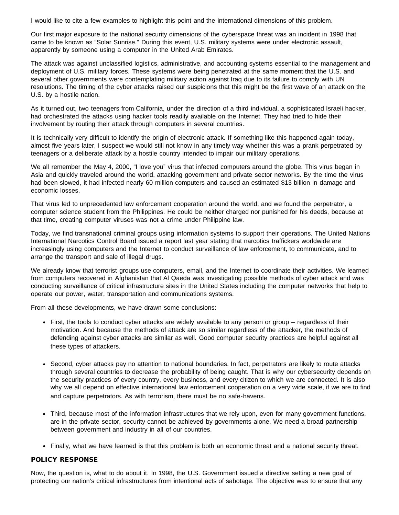I would like to cite a few examples to highlight this point and the international dimensions of this problem.

Our first major exposure to the national security dimensions of the cyberspace threat was an incident in 1998 that came to be known as "Solar Sunrise." During this event, U.S. military systems were under electronic assault, apparently by someone using a computer in the United Arab Emirates.

The attack was against unclassified logistics, administrative, and accounting systems essential to the management and deployment of U.S. military forces. These systems were being penetrated at the same moment that the U.S. and several other governments were contemplating military action against Iraq due to its failure to comply with UN resolutions. The timing of the cyber attacks raised our suspicions that this might be the first wave of an attack on the U.S. by a hostile nation.

As it turned out, two teenagers from California, under the direction of a third individual, a sophisticated Israeli hacker, had orchestrated the attacks using hacker tools readily available on the Internet. They had tried to hide their involvement by routing their attack through computers in several countries.

It is technically very difficult to identify the origin of electronic attack. If something like this happened again today, almost five years later, I suspect we would still not know in any timely way whether this was a prank perpetrated by teenagers or a deliberate attack by a hostile country intended to impair our military operations.

We all remember the May 4, 2000, "I love you" virus that infected computers around the globe. This virus began in Asia and quickly traveled around the world, attacking government and private sector networks. By the time the virus had been slowed, it had infected nearly 60 million computers and caused an estimated \$13 billion in damage and economic losses.

That virus led to unprecedented law enforcement cooperation around the world, and we found the perpetrator, a computer science student from the Philippines. He could be neither charged nor punished for his deeds, because at that time, creating computer viruses was not a crime under Philippine law.

Today, we find transnational criminal groups using information systems to support their operations. The United Nations International Narcotics Control Board issued a report last year stating that narcotics traffickers worldwide are increasingly using computers and the Internet to conduct surveillance of law enforcement, to communicate, and to arrange the transport and sale of illegal drugs.

We already know that terrorist groups use computers, email, and the Internet to coordinate their activities. We learned from computers recovered in Afghanistan that Al Qaeda was investigating possible methods of cyber attack and was conducting surveillance of critical infrastructure sites in the United States including the computer networks that help to operate our power, water, transportation and communications systems.

From all these developments, we have drawn some conclusions:

- First, the tools to conduct cyber attacks are widely available to any person or group regardless of their motivation. And because the methods of attack are so similar regardless of the attacker, the methods of defending against cyber attacks are similar as well. Good computer security practices are helpful against all these types of attackers.
- Second, cyber attacks pay no attention to national boundaries. In fact, perpetrators are likely to route attacks through several countries to decrease the probability of being caught. That is why our cybersecurity depends on the security practices of every country, every business, and every citizen to which we are connected. It is also why we all depend on effective international law enforcement cooperation on a very wide scale, if we are to find and capture perpetrators. As with terrorism, there must be no safe-havens.
- Third, because most of the information infrastructures that we rely upon, even for many government functions, are in the private sector, security cannot be achieved by governments alone. We need a broad partnership between government and industry in all of our countries.
- Finally, what we have learned is that this problem is both an economic threat and a national security threat.

# POLICY RESPONSE

Now, the question is, what to do about it. In 1998, the U.S. Government issued a directive setting a new goal of protecting our nation's critical infrastructures from intentional acts of sabotage. The objective was to ensure that any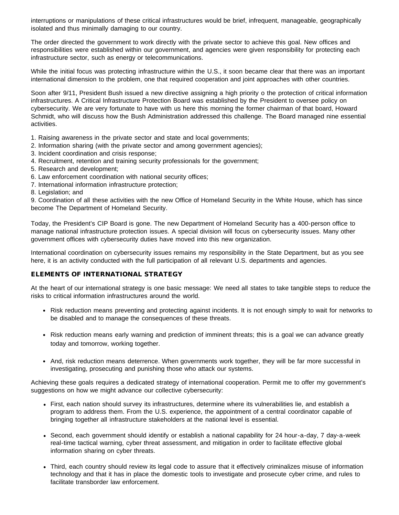interruptions or manipulations of these critical infrastructures would be brief, infrequent, manageable, geographically isolated and thus minimally damaging to our country.

The order directed the government to work directly with the private sector to achieve this goal. New offices and responsibilities were established within our government, and agencies were given responsibility for protecting each infrastructure sector, such as energy or telecommunications.

While the initial focus was protecting infrastructure within the U.S., it soon became clear that there was an important international dimension to the problem, one that required cooperation and joint approaches with other countries.

Soon after 9/11, President Bush issued a new directive assigning a high priority o the protection of critical information infrastructures. A Critical Infrastructure Protection Board was established by the President to oversee policy on cybersecurity. We are very fortunate to have with us here this morning the former chairman of that board, Howard Schmidt, who will discuss how the Bush Administration addressed this challenge. The Board managed nine essential activities.

1. Raising awareness in the private sector and state and local governments;

- 2. Information sharing (with the private sector and among government agencies);
- 3. Incident coordination and crisis response;
- 4. Recruitment, retention and training security professionals for the government;
- 5. Research and development;
- 6. Law enforcement coordination with national security offices;
- 7. International information infrastructure protection;
- 8. Legislation; and

9. Coordination of all these activities with the new Office of Homeland Security in the White House, which has since become The Department of Homeland Security.

Today, the President's CIP Board is gone. The new Department of Homeland Security has a 400-person office to manage national infrastructure protection issues. A special division will focus on cybersecurity issues. Many other government offices with cybersecurity duties have moved into this new organization.

International coordination on cybersecurity issues remains my responsibility in the State Department, but as you see here, it is an activity conducted with the full participation of all relevant U.S. departments and agencies.

## ELEMENTS OF INTERNATIONAL STRATEGY

At the heart of our international strategy is one basic message: We need all states to take tangible steps to reduce the risks to critical information infrastructures around the world.

- Risk reduction means preventing and protecting against incidents. It is not enough simply to wait for networks to be disabled and to manage the consequences of these threats.
- Risk reduction means early warning and prediction of imminent threats; this is a goal we can advance greatly today and tomorrow, working together.
- And, risk reduction means deterrence. When governments work together, they will be far more successful in investigating, prosecuting and punishing those who attack our systems.

Achieving these goals requires a dedicated strategy of international cooperation. Permit me to offer my government's suggestions on how we might advance our collective cybersecurity:

- First, each nation should survey its infrastructures, determine where its vulnerabilities lie, and establish a program to address them. From the U.S. experience, the appointment of a central coordinator capable of bringing together all infrastructure stakeholders at the national level is essential.
- Second, each government should identify or establish a national capability for 24 hour-a-day, 7 day-a-week real-time tactical warning, cyber threat assessment, and mitigation in order to facilitate effective global information sharing on cyber threats.
- Third, each country should review its legal code to assure that it effectively criminalizes misuse of information technology and that it has in place the domestic tools to investigate and prosecute cyber crime, and rules to facilitate transborder law enforcement.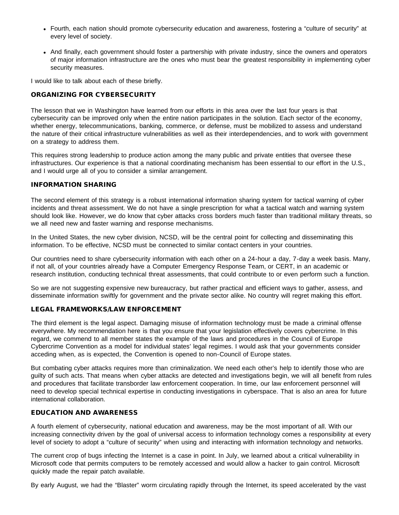- Fourth, each nation should promote cybersecurity education and awareness, fostering a "culture of security" at every level of society.
- And finally, each government should foster a partnership with private industry, since the owners and operators of major information infrastructure are the ones who must bear the greatest responsibility in implementing cyber security measures.

I would like to talk about each of these briefly.

## ORGANIZING FOR CYBERSECURITY

The lesson that we in Washington have learned from our efforts in this area over the last four years is that cybersecurity can be improved only when the entire nation participates in the solution. Each sector of the economy, whether energy, telecommunications, banking, commerce, or defense, must be mobilized to assess and understand the nature of their critical infrastructure vulnerabilities as well as their interdependencies, and to work with government on a strategy to address them.

This requires strong leadership to produce action among the many public and private entities that oversee these infrastructures. Our experience is that a national coordinating mechanism has been essential to our effort in the U.S., and I would urge all of you to consider a similar arrangement.

#### INFORMATION SHARING

The second element of this strategy is a robust international information sharing system for tactical warning of cyber incidents and threat assessment. We do not have a single prescription for what a tactical watch and warning system should look like. However, we do know that cyber attacks cross borders much faster than traditional military threats, so we all need new and faster warning and response mechanisms.

In the United States, the new cyber division, NCSD, will be the central point for collecting and disseminating this information. To be effective, NCSD must be connected to similar contact centers in your countries.

Our countries need to share cybersecurity information with each other on a 24-hour a day, 7-day a week basis. Many, if not all, of your countries already have a Computer Emergency Response Team, or CERT, in an academic or research institution, conducting technical threat assessments, that could contribute to or even perform such a function.

So we are not suggesting expensive new bureaucracy, but rather practical and efficient ways to gather, assess, and disseminate information swiftly for government and the private sector alike. No country will regret making this effort.

## LEGAL FRAMEWORKS/LAW ENFORCEMENT

The third element is the legal aspect. Damaging misuse of information technology must be made a criminal offense everywhere. My recommendation here is that you ensure that your legislation effectively covers cybercrime. In this regard, we commend to all member states the example of the laws and procedures in the Council of Europe Cybercrime Convention as a model for individual states' legal regimes. I would ask that your governments consider acceding when, as is expected, the Convention is opened to non-Council of Europe states.

But combating cyber attacks requires more than criminalization. We need each other's help to identify those who are guilty of such acts. That means when cyber attacks are detected and investigations begin, we will all benefit from rules and procedures that facilitate transborder law enforcement cooperation. In time, our law enforcement personnel will need to develop special technical expertise in conducting investigations in cyberspace. That is also an area for future international collaboration.

# EDUCATION AND AWARENESS

A fourth element of cybersecurity, national education and awareness, may be the most important of all. With our increasing connectivity driven by the goal of universal access to information technology comes a responsibility at every level of society to adopt a "culture of security" when using and interacting with information technology and networks.

The current crop of bugs infecting the Internet is a case in point. In July, we learned about a critical vulnerability in Microsoft code that permits computers to be remotely accessed and would allow a hacker to gain control. Microsoft quickly made the repair patch available.

By early August, we had the "Blaster" worm circulating rapidly through the Internet, its speed accelerated by the vast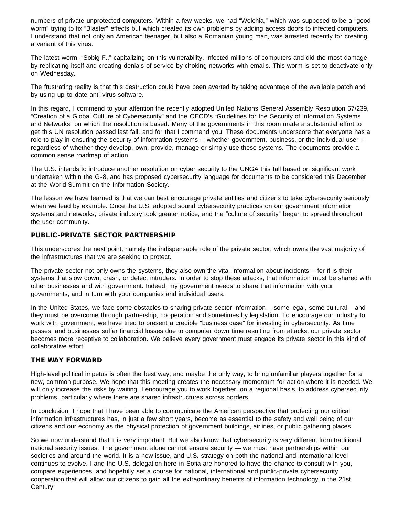numbers of private unprotected computers. Within a few weeks, we had "Welchia," which was supposed to be a "good worm" trying to fix "Blaster" effects but which created its own problems by adding access doors to infected computers. I understand that not only an American teenager, but also a Romanian young man, was arrested recently for creating a variant of this virus.

The latest worm, "Sobig F.," capitalizing on this vulnerability, infected millions of computers and did the most damage by replicating itself and creating denials of service by choking networks with emails. This worm is set to deactivate only on Wednesday.

The frustrating reality is that this destruction could have been averted by taking advantage of the available patch and by using up-to-date anti-virus software.

In this regard, I commend to your attention the recently adopted United Nations General Assembly Resolution 57/239, "Creation of a Global Culture of Cybersecurity" and the OECD's "Guidelines for the Security of Information Systems and Networks" on which the resolution is based. Many of the governments in this room made a substantial effort to get this UN resolution passed last fall, and for that I commend you. These documents underscore that everyone has a role to play in ensuring the security of information systems -- whether government, business, or the individual user - regardless of whether they develop, own, provide, manage or simply use these systems. The documents provide a common sense roadmap of action.

The U.S. intends to introduce another resolution on cyber security to the UNGA this fall based on significant work undertaken within the G-8, and has proposed cybersecurity language for documents to be considered this December at the World Summit on the Information Society.

The lesson we have learned is that we can best encourage private entities and citizens to take cybersecurity seriously when we lead by example. Once the U.S. adopted sound cybersecurity practices on our government information systems and networks, private industry took greater notice, and the "culture of security" began to spread throughout the user community.

# PUBLIC-PRIVATE SECTOR PARTNERSHIP

This underscores the next point, namely the indispensable role of the private sector, which owns the vast majority of the infrastructures that we are seeking to protect.

The private sector not only owns the systems, they also own the vital information about incidents – for it is their systems that slow down, crash, or detect intruders. In order to stop these attacks, that information must be shared with other businesses and with government. Indeed, my government needs to share that information with your governments, and in turn with your companies and individual users.

In the United States, we face some obstacles to sharing private sector information – some legal, some cultural – and they must be overcome through partnership, cooperation and sometimes by legislation. To encourage our industry to work with government, we have tried to present a credible "business case" for investing in cybersecurity. As time passes, and businesses suffer financial losses due to computer down time resulting from attacks, our private sector becomes more receptive to collaboration. We believe every government must engage its private sector in this kind of collaborative effort.

## THE WAY FORWARD

High-level political impetus is often the best way, and maybe the only way, to bring unfamiliar players together for a new, common purpose. We hope that this meeting creates the necessary momentum for action where it is needed. We will only increase the risks by waiting. I encourage you to work together, on a regional basis, to address cybersecurity problems, particularly where there are shared infrastructures across borders.

In conclusion, I hope that I have been able to communicate the American perspective that protecting our critical information infrastructures has, in just a few short years, become as essential to the safety and well being of our citizens and our economy as the physical protection of government buildings, airlines, or public gathering places.

So we now understand that it is very important. But we also know that cybersecurity is very different from traditional national security issues. The government alone cannot ensure security — we must have partnerships within our societies and around the world. It is a new issue, and U.S. strategy on both the national and international level continues to evolve. I and the U.S. delegation here in Sofia are honored to have the chance to consult with you, compare experiences, and hopefully set a course for national, international and public-private cybersecurity cooperation that will allow our citizens to gain all the extraordinary benefits of information technology in the 21st Century.